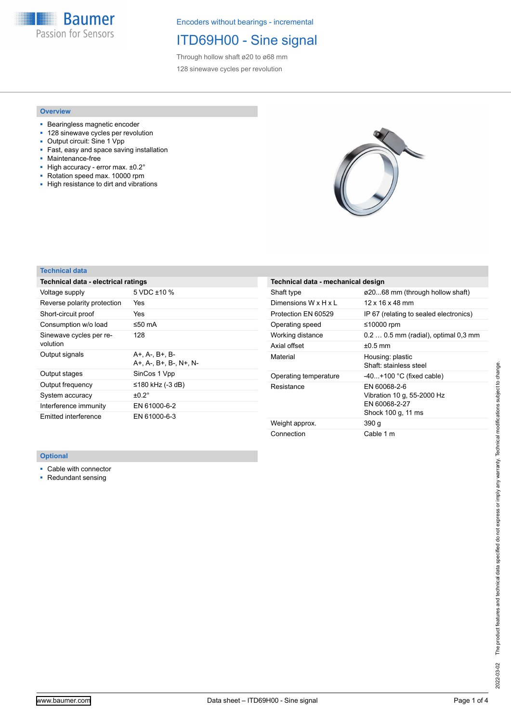**Baumer** Passion for Sensors

Encoders without bearings - incremental

## ITD69H00 - Sine signal

Through hollow shaft ø20 to ø68 mm 128 sinewave cycles per revolution

### **Overview**

- Bearingless magnetic encoder
- 128 sinewave cycles per revolution
- Output circuit: Sine 1 Vpp<br>■ Fast, easy and space savi Fast, easy and space saving installation
- Maintenance-free
- High accuracy error max. ±0.2°
- Rotation speed max. 10000 rpm
- High resistance to dirt and vibrations



## **Technical data**

| Technical data - electrical ratings      |  |  |  |  |
|------------------------------------------|--|--|--|--|
| 5 VDC $\pm$ 10 %                         |  |  |  |  |
| Yes                                      |  |  |  |  |
| Yes                                      |  |  |  |  |
| ≤50 mA                                   |  |  |  |  |
| 128                                      |  |  |  |  |
| A+, A-, B+, B-<br>A+. A-. B+. B-. N+. N- |  |  |  |  |
| SinCos 1 Vpp                             |  |  |  |  |
|                                          |  |  |  |  |
| ≤180 kHz (-3 dB)                         |  |  |  |  |
| $\pm 0.2^{\circ}$                        |  |  |  |  |
| EN 61000-6-2                             |  |  |  |  |
|                                          |  |  |  |  |

| Technical data - mechanical design |                                                                                   |
|------------------------------------|-----------------------------------------------------------------------------------|
| Shaft type                         | ø2068 mm (through hollow shaft)                                                   |
| Dimensions W x H x L               | $12 \times 16 \times 48$ mm                                                       |
| Protection EN 60529                | IP 67 (relating to sealed electronics)                                            |
| Operating speed                    | ≤10000 rpm                                                                        |
| Working distance                   | $0.20.5$ mm (radial), optimal $0.3$ mm                                            |
| Axial offset                       | $\pm 0.5$ mm                                                                      |
| Material                           | Housing: plastic<br>Shaft: stainless steel                                        |
| Operating temperature              | $-40+100$ °C (fixed cable)                                                        |
| Resistance                         | EN 60068-2-6<br>Vibration 10 g, 55-2000 Hz<br>FN 60068-2-27<br>Shock 100 g, 11 ms |
| Weight approx.                     | 390 g                                                                             |
| Connection                         | Cable 1 m                                                                         |

### **Optional**

■ Cable with connector

■ Redundant sensing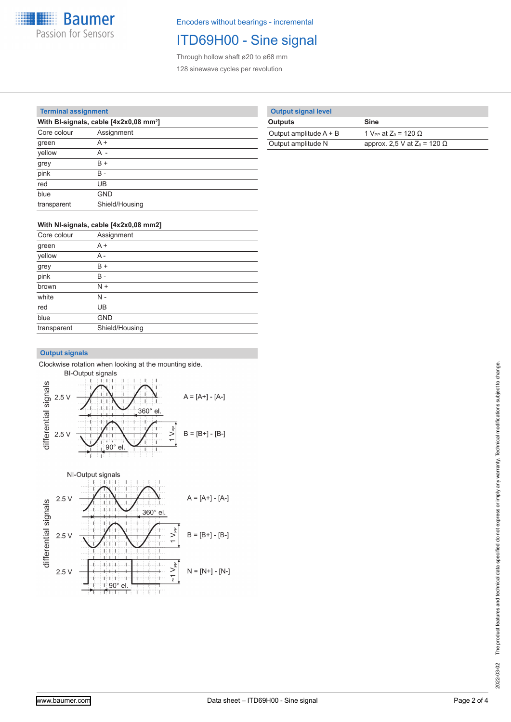

Encoders without bearings - incremental

# ITD69H00 - Sine signal

Through hollow shaft ø20 to ø68 mm 128 sinewave cycles per revolution

### **Terminal assignment**

| With BI-signals, cable [4x2x0,08 mm <sup>2</sup> ] |                |  |  |
|----------------------------------------------------|----------------|--|--|
| Core colour                                        | Assignment     |  |  |
| green                                              | $A +$          |  |  |
| yellow                                             | A -            |  |  |
| grey                                               | B +            |  |  |
| pink                                               | в.             |  |  |
| red                                                | UB             |  |  |
| blue                                               | <b>GND</b>     |  |  |
| transparent                                        | Shield/Housing |  |  |

|  | <b>Output signal level</b> |
|--|----------------------------|
|  |                            |

| <b>Outputs</b>           | <b>Sine</b>                             |
|--------------------------|-----------------------------------------|
| Output amplitude $A + B$ | 1 V <sub>PP</sub> at $Z_0 = 120 \Omega$ |
| Output amplitude N       | approx. 2,5 V at $Z_0$ = 120 $\Omega$   |

## **With NI-signals, cable [4x2x0,08 mm2]**

| Core colour | Assignment     |
|-------------|----------------|
| green       | $A +$          |
| yellow      | A -            |
| grey        | $B +$          |
| pink        | B -            |
| brown       | $N +$          |
| white       | N -            |
| red         | UB             |
| blue        | <b>GND</b>     |
| transparent | Shield/Housing |

## **Output signals**

Clockwise rotation when looking at the mounting side.



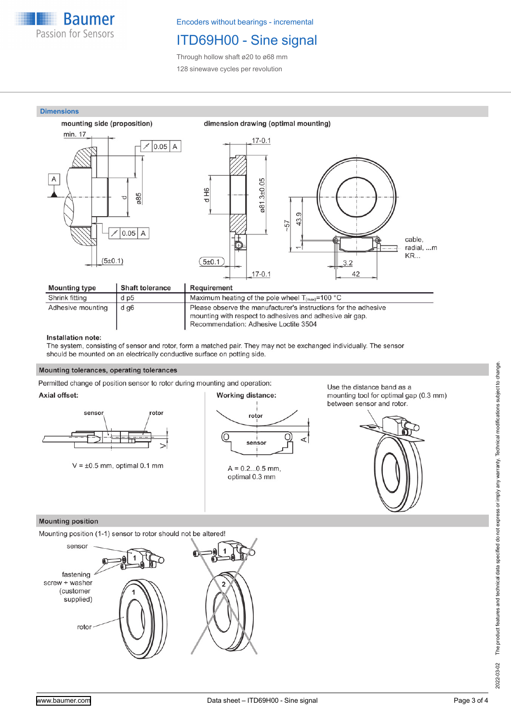

Encoders without bearings - incremental

# ITD69H00 - Sine signal

Through hollow shaft ø20 to ø68 mm 128 sinewave cycles per revolution



#### Installation note:

The system, consisting of sensor and rotor, form a matched pair. They may not be exchanged individually. The sensor should be mounted on an electrically conductive surface on potting side.

### Mounting tolerances, operating tolerances

Permitted change of position sensor to rotor during mounting and operation:

### Axial offset:



 $V = \pm 0.5$  mm, optimal 0.1 mm



Use the distance band as a mounting tool for optimal gap (0.3 mm) between sensor and rotor.



### **Mounting position**

Mounting position (1-1) sensor to rotor should not be altered!